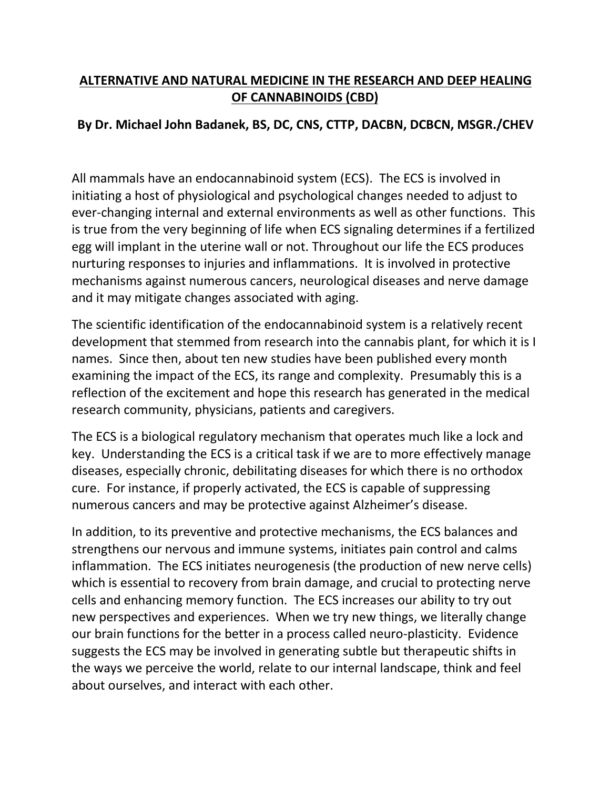# **ALTERNATIVE AND NATURAL MEDICINE IN THE RESEARCH AND DEEP HEALING OF CANNABINOIDS (CBD)**

### **By Dr. Michael John Badanek, BS, DC, CNS, CTTP, DACBN, DCBCN, MSGR./CHEV**

All mammals have an endocannabinoid system (ECS). The ECS is involved in initiating a host of physiological and psychological changes needed to adjust to ever-changing internal and external environments as well as other functions. This is true from the very beginning of life when ECS signaling determines if a fertilized egg will implant in the uterine wall or not. Throughout our life the ECS produces nurturing responses to injuries and inflammations. It is involved in protective mechanisms against numerous cancers, neurological diseases and nerve damage and it may mitigate changes associated with aging.

The scientific identification of the endocannabinoid system is a relatively recent development that stemmed from research into the cannabis plant, for which it is I names. Since then, about ten new studies have been published every month examining the impact of the ECS, its range and complexity. Presumably this is a reflection of the excitement and hope this research has generated in the medical research community, physicians, patients and caregivers.

The ECS is a biological regulatory mechanism that operates much like a lock and key. Understanding the ECS is a critical task if we are to more effectively manage diseases, especially chronic, debilitating diseases for which there is no orthodox cure. For instance, if properly activated, the ECS is capable of suppressing numerous cancers and may be protective against Alzheimer's disease.

In addition, to its preventive and protective mechanisms, the ECS balances and strengthens our nervous and immune systems, initiates pain control and calms inflammation. The ECS initiates neurogenesis (the production of new nerve cells) which is essential to recovery from brain damage, and crucial to protecting nerve cells and enhancing memory function. The ECS increases our ability to try out new perspectives and experiences. When we try new things, we literally change our brain functions for the better in a process called neuro-plasticity. Evidence suggests the ECS may be involved in generating subtle but therapeutic shifts in the ways we perceive the world, relate to our internal landscape, think and feel about ourselves, and interact with each other.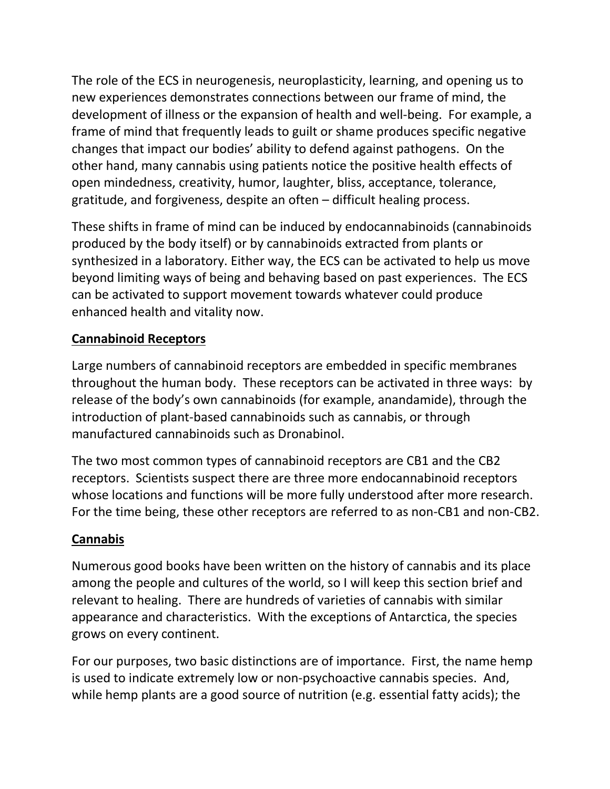The role of the ECS in neurogenesis, neuroplasticity, learning, and opening us to new experiences demonstrates connections between our frame of mind, the development of illness or the expansion of health and well-being. For example, a frame of mind that frequently leads to guilt or shame produces specific negative changes that impact our bodies' ability to defend against pathogens. On the other hand, many cannabis using patients notice the positive health effects of open mindedness, creativity, humor, laughter, bliss, acceptance, tolerance, gratitude, and forgiveness, despite an often – difficult healing process.

These shifts in frame of mind can be induced by endocannabinoids (cannabinoids produced by the body itself) or by cannabinoids extracted from plants or synthesized in a laboratory. Either way, the ECS can be activated to help us move beyond limiting ways of being and behaving based on past experiences. The ECS can be activated to support movement towards whatever could produce enhanced health and vitality now.

# **Cannabinoid Receptors**

Large numbers of cannabinoid receptors are embedded in specific membranes throughout the human body. These receptors can be activated in three ways: by release of the body's own cannabinoids (for example, anandamide), through the introduction of plant-based cannabinoids such as cannabis, or through manufactured cannabinoids such as Dronabinol.

The two most common types of cannabinoid receptors are CB1 and the CB2 receptors. Scientists suspect there are three more endocannabinoid receptors whose locations and functions will be more fully understood after more research. For the time being, these other receptors are referred to as non-CB1 and non-CB2.

# **Cannabis**

Numerous good books have been written on the history of cannabis and its place among the people and cultures of the world, so I will keep this section brief and relevant to healing. There are hundreds of varieties of cannabis with similar appearance and characteristics. With the exceptions of Antarctica, the species grows on every continent.

For our purposes, two basic distinctions are of importance. First, the name hemp is used to indicate extremely low or non-psychoactive cannabis species. And, while hemp plants are a good source of nutrition (e.g. essential fatty acids); the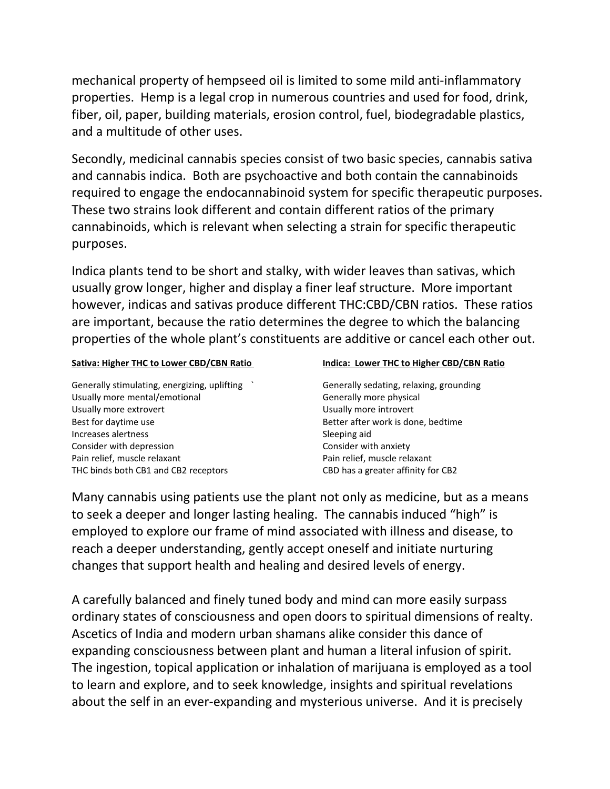mechanical property of hempseed oil is limited to some mild anti-inflammatory properties. Hemp is a legal crop in numerous countries and used for food, drink, fiber, oil, paper, building materials, erosion control, fuel, biodegradable plastics, and a multitude of other uses.

Secondly, medicinal cannabis species consist of two basic species, cannabis sativa and cannabis indica. Both are psychoactive and both contain the cannabinoids required to engage the endocannabinoid system for specific therapeutic purposes. These two strains look different and contain different ratios of the primary cannabinoids, which is relevant when selecting a strain for specific therapeutic purposes.

Indica plants tend to be short and stalky, with wider leaves than sativas, which usually grow longer, higher and display a finer leaf structure. More important however, indicas and sativas produce different THC:CBD/CBN ratios. These ratios are important, because the ratio determines the degree to which the balancing properties of the whole plant's constituents are additive or cancel each other out.

Generally stimulating, energizing, uplifting ` Generally sedating, relaxing, grounding Usually more mental/emotional Generally more physical Usually more extrovert Usually more introvert Best for daytime use **Better after work is done**, bedtime Increases alertness and states of the state of the Sleeping aid Consider with depression Consider with anxiety Pain relief, muscle relaxant example and pain relief, muscle relaxant THC binds both CB1 and CB2 receptors CBD has a greater affinity for CB2

### **Sativa: Higher THC to Lower CBD/CBN Ratio Indica: Lower THC to Higher CBD/CBN Ratio**

Many cannabis using patients use the plant not only as medicine, but as a means to seek a deeper and longer lasting healing. The cannabis induced "high" is employed to explore our frame of mind associated with illness and disease, to reach a deeper understanding, gently accept oneself and initiate nurturing changes that support health and healing and desired levels of energy.

A carefully balanced and finely tuned body and mind can more easily surpass ordinary states of consciousness and open doorsto spiritual dimensions of realty. Ascetics of India and modern urban shamans alike consider this dance of expanding consciousness between plant and human a literal infusion of spirit. The ingestion, topical application or inhalation of marijuana is employed as a tool to learn and explore, and to seek knowledge, insights and spiritual revelations about the self in an ever-expanding and mysterious universe. And it is precisely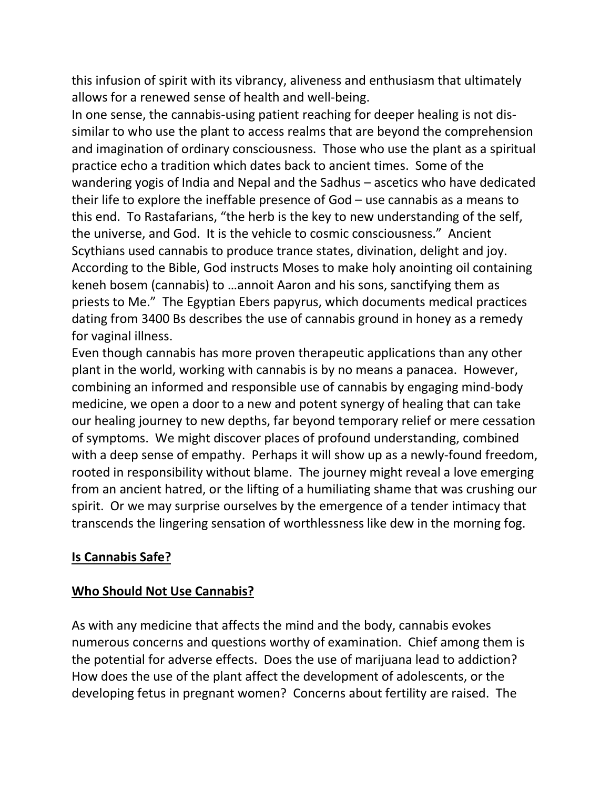this infusion of spirit with its vibrancy, aliveness and enthusiasm that ultimately allows for a renewed sense of health and well-being.

In one sense, the cannabis-using patient reaching for deeper healing is not dis similar to who use the plant to access realms that are beyond the comprehension and imagination of ordinary consciousness. Those who use the plant as a spiritual practice echo a tradition which dates back to ancient times. Some of the wandering yogis of India and Nepal and the Sadhus – ascetics who have dedicated their life to explore the ineffable presence of God – use cannabis as a means to this end. To Rastafarians, "the herb is the key to new understanding of the self, the universe, and God. It is the vehicle to cosmic consciousness." Ancient Scythians used cannabis to produce trance states, divination, delight and joy. According to the Bible, God instructs Moses to make holy anointing oil containing keneh bosem (cannabis) to …annoit Aaron and his sons, sanctifying them as priests to Me." The Egyptian Ebers papyrus, which documents medical practices dating from 3400 Bs describes the use of cannabis ground in honey as a remedy for vaginal illness.

Even though cannabis has more proven therapeutic applications than any other plant in the world, working with cannabis is by no means a panacea. However, combining an informed and responsible use of cannabis by engaging mind-body medicine, we open a door to a new and potent synergy of healing that can take our healing journey to new depths, far beyond temporary relief or mere cessation of symptoms. We might discover places of profound understanding, combined with a deep sense of empathy. Perhaps it will show up as a newly-found freedom, rooted in responsibility without blame. The journey might reveal a love emerging from an ancient hatred, or the lifting of a humiliating shame that was crushing our spirit. Or we may surprise ourselves by the emergence of a tender intimacy that transcends the lingering sensation of worthlessness like dew in the morning fog.

### **Is Cannabis Safe?**

### **Who Should Not Use Cannabis?**

As with any medicine that affects the mind and the body, cannabis evokes numerous concerns and questions worthy of examination. Chief among them is the potential for adverse effects. Does the use of marijuana lead to addiction? How does the use of the plant affect the development of adolescents, or the developing fetus in pregnant women? Concerns about fertility are raised. The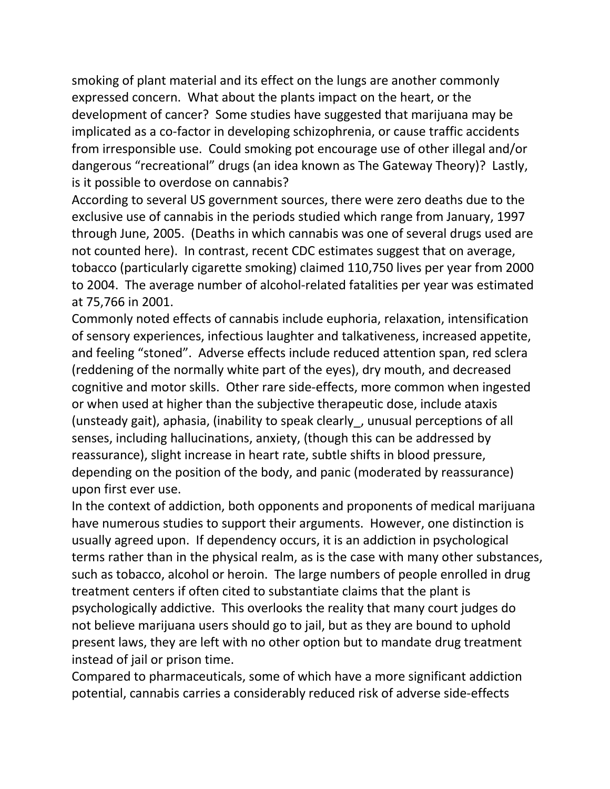smoking of plant material and its effect on the lungs are another commonly expressed concern. What about the plants impact on the heart, or the development of cancer? Some studies have suggested that marijuana may be implicated as a co-factor in developing schizophrenia, or cause traffic accidents from irresponsible use. Could smoking pot encourage use of other illegal and/or dangerous "recreational" drugs (an idea known as The Gateway Theory)? Lastly, is it possible to overdose on cannabis?

According to several US government sources, there were zero deaths due to the exclusive use of cannabis in the periods studied which range from January, 1997 through June, 2005. (Deaths in which cannabis was one of several drugs used are not counted here). In contrast, recent CDC estimates suggest that on average, tobacco (particularly cigarette smoking) claimed 110,750 lives per year from 2000 to 2004. The average number of alcohol-related fatalities per year was estimated at 75,766 in 2001.

Commonly noted effects of cannabis include euphoria, relaxation, intensification of sensory experiences, infectious laughter and talkativeness, increased appetite, and feeling "stoned". Adverse effects include reduced attention span, red sclera (reddening of the normally white part of the eyes), dry mouth, and decreased cognitive and motor skills. Other rare side-effects, more common when ingested or when used at higher than the subjective therapeutic dose, include ataxis (unsteady gait), aphasia, (inability to speak clearly\_, unusual perceptions of all senses, including hallucinations, anxiety, (though this can be addressed by reassurance), slight increase in heart rate, subtle shifts in blood pressure, depending on the position of the body, and panic (moderated by reassurance) upon first ever use.

In the context of addiction, both opponents and proponents of medical marijuana have numerous studies to support their arguments. However, one distinction is usually agreed upon. If dependency occurs, it is an addiction in psychological terms rather than in the physical realm, as is the case with many other substances, such as tobacco, alcohol or heroin. The large numbers of people enrolled in drug treatment centers if often cited to substantiate claims that the plant is psychologically addictive. This overlooks the reality that many court judges do not believe marijuana users should go to jail, but as they are bound to uphold present laws, they are left with no other option but to mandate drug treatment instead of jail or prison time.

Compared to pharmaceuticals, some of which have a more significant addiction potential, cannabis carries a considerably reduced risk of adverse side-effects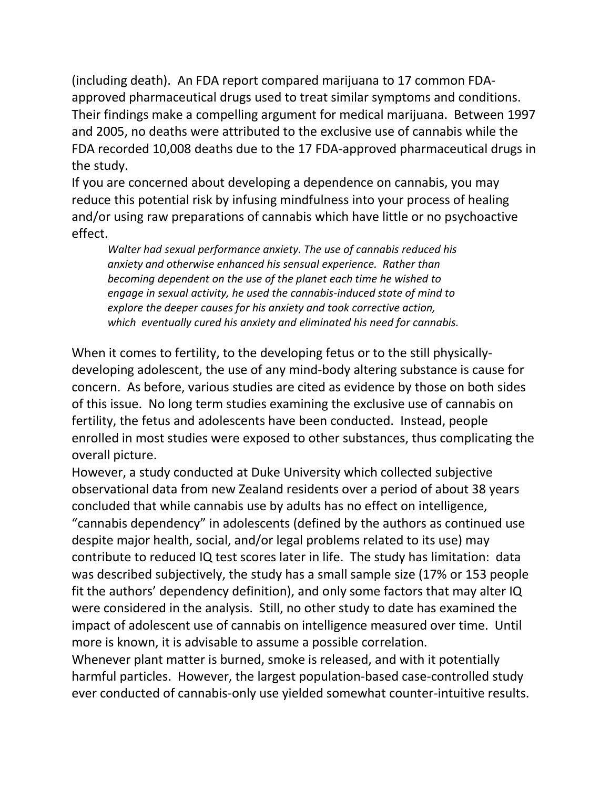(including death). An FDA report compared marijuana to 17 common FDA approved pharmaceutical drugs used to treat similar symptoms and conditions. Their findings make a compelling argument for medical marijuana. Between 1997 and 2005, no deaths were attributed to the exclusive use of cannabis while the FDA recorded 10,008 deaths due to the 17 FDA-approved pharmaceutical drugs in the study.

If you are concerned about developing a dependence on cannabis, you may reduce this potential risk by infusing mindfulness into your process of healing and/or using raw preparations of cannabis which have little or no psychoactive effect.

*Walter had sexual performance anxiety. The use of cannabis reduced his anxiety and otherwise enhanced his sensual experience. Rather than becoming dependent on the use of the planet each time he wished to engage in sexual activity, he used the cannabis-induced state of mind to explore the deeper causes for his anxiety and took corrective action, which eventually cured his anxiety and eliminated his need for cannabis.*

When it comes to fertility, to the developing fetus or to the still physically developing adolescent, the use of any mind-body altering substance is cause for concern. As before, various studies are cited as evidence by those on both sides of this issue. No long term studies examining the exclusive use of cannabis on fertility, the fetus and adolescents have been conducted. Instead, people enrolled in most studies were exposed to other substances, thus complicating the overall picture.

However, a study conducted at Duke University which collected subjective observational data from new Zealand residents over a period of about 38 years concluded that while cannabis use by adults has no effect on intelligence, "cannabis dependency" in adolescents (defined by the authors as continued use despite major health, social, and/or legal problems related to its use) may contribute to reduced IQ test scores later in life. The study has limitation: data was described subjectively, the study has a small sample size (17% or 153 people fit the authors' dependency definition), and only some factors that may alter IQ were considered in the analysis. Still, no other study to date has examined the impact of adolescent use of cannabis on intelligence measured over time. Until more is known, it is advisable to assume a possible correlation.

Whenever plant matter is burned, smoke is released, and with it potentially harmful particles. However, the largest population-based case-controlled study ever conducted of cannabis-only use yielded somewhat counter-intuitive results.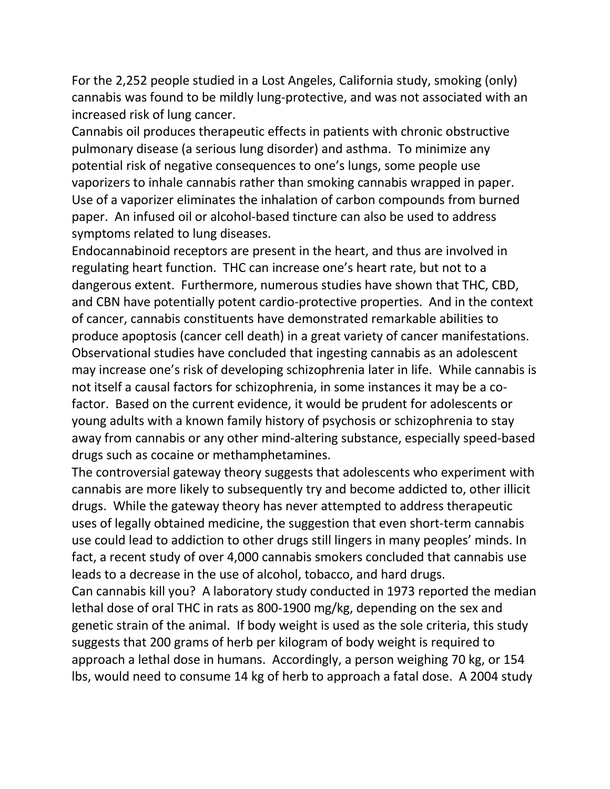For the 2,252 people studied in a Lost Angeles, California study, smoking (only) cannabis was found to be mildly lung-protective, and was not associated with an increased risk of lung cancer.

Cannabis oil produces therapeutic effects in patients with chronic obstructive pulmonary disease (a serious lung disorder) and asthma. To minimize any potential risk of negative consequences to one's lungs, some people use vaporizers to inhale cannabis rather than smoking cannabis wrapped in paper. Use of a vaporizer eliminates the inhalation of carbon compounds from burned paper. An infused oil or alcohol-based tincture can also be used to address symptoms related to lung diseases.

Endocannabinoid receptors are present in the heart, and thus are involved in regulating heart function. THC can increase one's heart rate, but not to a dangerous extent. Furthermore, numerous studies have shown that THC, CBD, and CBN have potentially potent cardio-protective properties. And in the context of cancer, cannabis constituents have demonstrated remarkable abilities to produce apoptosis (cancer cell death) in a great variety of cancer manifestations. Observational studies have concluded that ingesting cannabis as an adolescent may increase one's risk of developing schizophrenia later in life. While cannabis is not itself a causal factors for schizophrenia, in some instances it may be a cofactor. Based on the current evidence, it would be prudent for adolescents or young adults with a known family history of psychosis or schizophrenia to stay away from cannabis or any other mind-altering substance, especially speed-based drugs such as cocaine or methamphetamines.

The controversial gateway theory suggests that adolescents who experiment with cannabis are more likely to subsequently try and become addicted to, other illicit drugs. While the gateway theory has never attempted to address therapeutic uses of legally obtained medicine, the suggestion that even short-term cannabis use could lead to addiction to other drugs still lingers in many peoples' minds. In fact, a recent study of over 4,000 cannabis smokers concluded that cannabis use leads to a decrease in the use of alcohol, tobacco, and hard drugs.

Can cannabis kill you? A laboratory study conducted in 1973 reported the median lethal dose of oral THC in rats as 800-1900 mg/kg, depending on the sex and genetic strain of the animal. If body weight is used as the sole criteria, this study suggests that 200 grams of herb per kilogram of body weight is required to approach a lethal dose in humans. Accordingly, a person weighing 70 kg, or 154 lbs, would need to consume 14 kg of herb to approach a fatal dose. A 2004 study